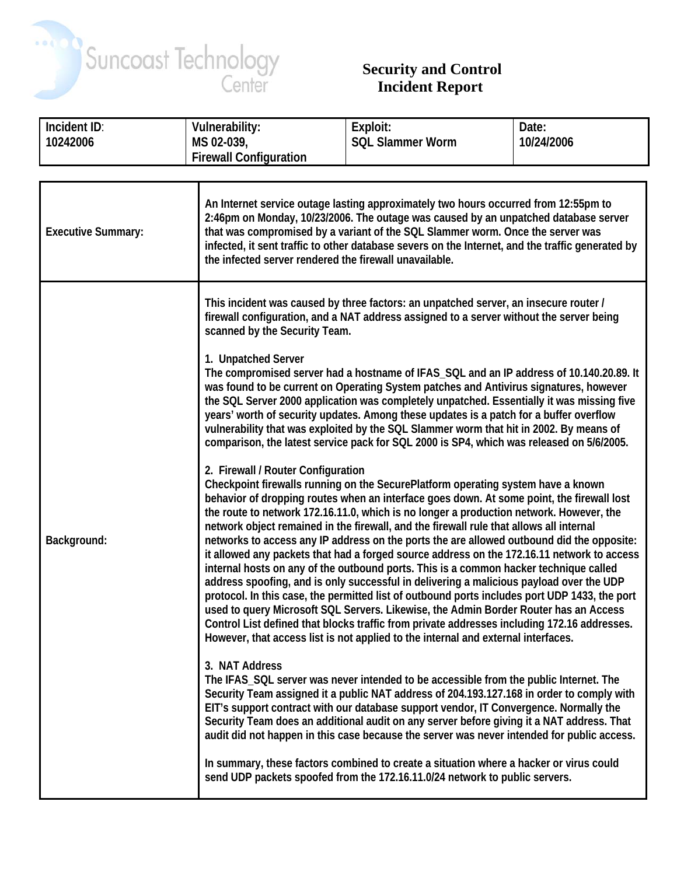

## **Security and Control Incident Report**

| Incident ID:              | <b>Vulnerability:</b>                                                                                                                                                                                                                                                                                                                                                                                                                                                                                                                                                                                                                                                                                                                                                                                                                                                                                                                                                                                                                                                                                                                                                 | Exploit:                | Date:      |
|---------------------------|-----------------------------------------------------------------------------------------------------------------------------------------------------------------------------------------------------------------------------------------------------------------------------------------------------------------------------------------------------------------------------------------------------------------------------------------------------------------------------------------------------------------------------------------------------------------------------------------------------------------------------------------------------------------------------------------------------------------------------------------------------------------------------------------------------------------------------------------------------------------------------------------------------------------------------------------------------------------------------------------------------------------------------------------------------------------------------------------------------------------------------------------------------------------------|-------------------------|------------|
| 10242006                  | MS 02-039,                                                                                                                                                                                                                                                                                                                                                                                                                                                                                                                                                                                                                                                                                                                                                                                                                                                                                                                                                                                                                                                                                                                                                            | <b>SQL Slammer Worm</b> | 10/24/2006 |
|                           | <b>Firewall Configuration</b>                                                                                                                                                                                                                                                                                                                                                                                                                                                                                                                                                                                                                                                                                                                                                                                                                                                                                                                                                                                                                                                                                                                                         |                         |            |
|                           |                                                                                                                                                                                                                                                                                                                                                                                                                                                                                                                                                                                                                                                                                                                                                                                                                                                                                                                                                                                                                                                                                                                                                                       |                         |            |
| <b>Executive Summary:</b> | An Internet service outage lasting approximately two hours occurred from 12:55pm to<br>2:46pm on Monday, 10/23/2006. The outage was caused by an unpatched database server<br>that was compromised by a variant of the SQL Slammer worm. Once the server was<br>infected, it sent traffic to other database severs on the Internet, and the traffic generated by<br>the infected server rendered the firewall unavailable.                                                                                                                                                                                                                                                                                                                                                                                                                                                                                                                                                                                                                                                                                                                                            |                         |            |
|                           | This incident was caused by three factors: an unpatched server, an insecure router /<br>firewall configuration, and a NAT address assigned to a server without the server being<br>scanned by the Security Team.                                                                                                                                                                                                                                                                                                                                                                                                                                                                                                                                                                                                                                                                                                                                                                                                                                                                                                                                                      |                         |            |
| Background:               | 1. Unpatched Server<br>The compromised server had a hostname of IFAS_SQL and an IP address of 10.140.20.89. It<br>was found to be current on Operating System patches and Antivirus signatures, however<br>the SQL Server 2000 application was completely unpatched. Essentially it was missing five<br>years' worth of security updates. Among these updates is a patch for a buffer overflow<br>vulnerability that was exploited by the SQL Slammer worm that hit in 2002. By means of<br>comparison, the latest service pack for SQL 2000 is SP4, which was released on 5/6/2005.                                                                                                                                                                                                                                                                                                                                                                                                                                                                                                                                                                                  |                         |            |
|                           | 2. Firewall / Router Configuration<br>Checkpoint firewalls running on the SecurePlatform operating system have a known<br>behavior of dropping routes when an interface goes down. At some point, the firewall lost<br>the route to network 172.16.11.0, which is no longer a production network. However, the<br>network object remained in the firewall, and the firewall rule that allows all internal<br>networks to access any IP address on the ports the are allowed outbound did the opposite:<br>it allowed any packets that had a forged source address on the 172.16.11 network to access<br>internal hosts on any of the outbound ports. This is a common hacker technique called<br>address spoofing, and is only successful in delivering a malicious payload over the UDP<br>protocol. In this case, the permitted list of outbound ports includes port UDP 1433, the port<br>used to query Microsoft SQL Servers. Likewise, the Admin Border Router has an Access<br>Control List defined that blocks traffic from private addresses including 172.16 addresses.<br>However, that access list is not applied to the internal and external interfaces. |                         |            |
|                           | 3. NAT Address<br>The IFAS_SQL server was never intended to be accessible from the public Internet. The<br>Security Team assigned it a public NAT address of 204.193.127.168 in order to comply with<br>EIT's support contract with our database support vendor, IT Convergence. Normally the<br>Security Team does an additional audit on any server before giving it a NAT address. That<br>audit did not happen in this case because the server was never intended for public access.                                                                                                                                                                                                                                                                                                                                                                                                                                                                                                                                                                                                                                                                              |                         |            |
|                           | In summary, these factors combined to create a situation where a hacker or virus could<br>send UDP packets spoofed from the 172.16.11.0/24 network to public servers.                                                                                                                                                                                                                                                                                                                                                                                                                                                                                                                                                                                                                                                                                                                                                                                                                                                                                                                                                                                                 |                         |            |